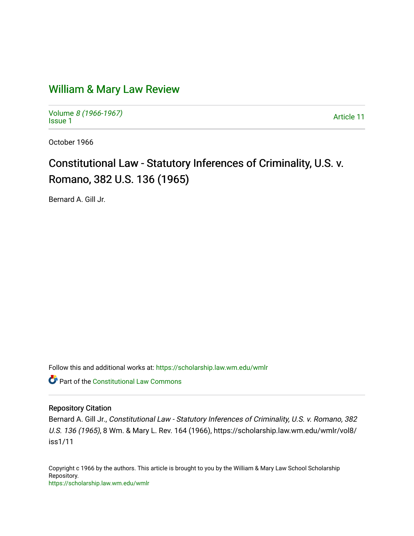## [William & Mary Law Review](https://scholarship.law.wm.edu/wmlr)

Volume [8 \(1966-1967\)](https://scholarship.law.wm.edu/wmlr/vol8)  Notative of the second state of the second state of the second state of the second state of the second state of  $\frac{1}{2}$ 

October 1966

## Constitutional Law - Statutory Inferences of Criminality, U.S. v. Romano, 382 U.S. 136 (1965)

Bernard A. Gill Jr.

Follow this and additional works at: [https://scholarship.law.wm.edu/wmlr](https://scholarship.law.wm.edu/wmlr?utm_source=scholarship.law.wm.edu%2Fwmlr%2Fvol8%2Fiss1%2F11&utm_medium=PDF&utm_campaign=PDFCoverPages)

Part of the [Constitutional Law Commons](http://network.bepress.com/hgg/discipline/589?utm_source=scholarship.law.wm.edu%2Fwmlr%2Fvol8%2Fiss1%2F11&utm_medium=PDF&utm_campaign=PDFCoverPages) 

## Repository Citation

Bernard A. Gill Jr., Constitutional Law - Statutory Inferences of Criminality, U.S. v. Romano, 382 U.S. 136 (1965), 8 Wm. & Mary L. Rev. 164 (1966), https://scholarship.law.wm.edu/wmlr/vol8/ iss1/11

Copyright c 1966 by the authors. This article is brought to you by the William & Mary Law School Scholarship Repository. <https://scholarship.law.wm.edu/wmlr>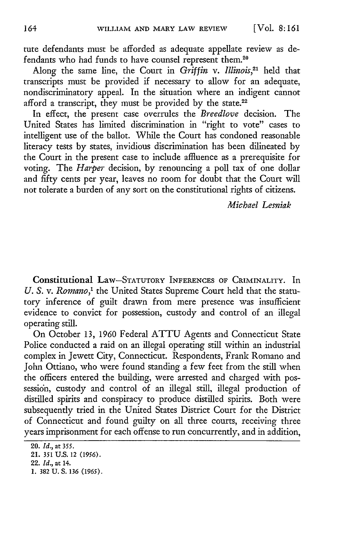tute defendants must be afforded as adequate appellate review as defendants who had funds to have counsel represent them.<sup>20</sup>

Along the same line, the Court in *Griffin* v. *Illinois,21* held that transcripts must be provided if necessary to allow for an adequate, nondiscriminatory appeal. In the situation where an indigent cannot afford a transcript, they must be provided by the state.<sup>22</sup>

In effect, the present case overrules the *Breedlove* decision. The United States has limited discrimination in "right to vote" cases to intelligent use of the ballot. While the Court has condoned reasonable literacy tests by states, invidious discrimination has been dilineated by the Court in the present case to include affluence as a prerequisite for voting. The *Harper* decision, by renouncing a poll tax of one dollar and fifty cents per year, leaves no room for doubt that the Court will not tolerate a burden of any sort on the constitutional rights of citizens.

*Michael Lesniak*

Constitutional Law-STATUTORY INFERENCES OF CRIMINALITY. In *U. S. v. Romano,'* the United States Supreme Court held that the statutory inference of guilt drawn from mere presence was insufficient evidence to convict for possession, custody and control of an illegal operating still.

On October 13, 1960 Federal ATTU Agents and Connecticut State Police conducted a raid on an illegal operating still within an industrial complex in Jewett City, Connecticut. Respondents, Frank Romano and John Ottiano, who were found standing a few feet from the still when the officers entered the building, were arrested and charged with possession, custody and control of an illegal still, illegal production of distilled spirits and conspiracy to produce distilled spirits. Both were subsequently tried in the United States District Court for the District of Connecticut and found guilty on all three courts, receiving three years imprisonment for each offense to run concurrently, and in addition,

<sup>20.</sup> *Id.,* at 355.

<sup>21.</sup> *351* **U.S.** 12 **(1956).**

<sup>22.</sup> *Id.,* at 14.

**<sup>1. 382</sup> U. S. 136 (1965).**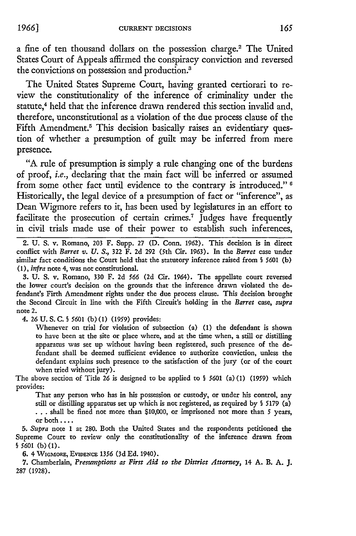a fine of ten thousand dollars on the possession charge.<sup>2</sup> The United States Court of Appeals affirmed the conspiracy conviction and reversed the convictions on possession and production.3

The United States Supreme Court, having granted certiorari to review the constitutionality of the inference of criminality under the statute,<sup>4</sup> held that the inference drawn rendered this section invalid and, therefore, unconstitutional as a violation of the due process clause of the Fifth Amendment.<sup>5</sup> This decision basically raises an evidentiary question of whether a presumption of guilt may be inferred from mere presence.

"A rule of presumption is simply a rule changing one of the burdens of proof, *i.e.,* declaring that the main fact will be inferred or assumed from some other fact until evidence to the contrary is introduced." **6** Historically, the legal device of a presumption of fact or "inference", as Dean Wigmore refers to it, has been used **by** legislatures in an effort to facilitate the prosecution of certain crimes.<sup>7</sup> Judges have frequently in civil trials made use of their power to establish such inferences,

2. U. S. v. Romano, 203 F. Supp. 27 **(D.** Conn. 1962). This decision is in direct conflict with *Barret v. U. S.,* **322** F. **2d** 292 (5th Cir. 1963). In the *Barret* case under similar fact conditions the Court held that the statutory inference raised from § 5601 (b) (1), *infra* note 4, was not constitutional.

3. U. S. v. Romano, 330 F. 2d *566* (2d Cir. 1964). The appellate court reversed the lower court's decision on the grounds that the inference drawn violated the defendant's Firth Amendment rights under the due process clause. This decision brought the Second Circuit in line with the Fifth Circuit's holding in the *Barret* case, *supra* note 2.

4. **26** U. S. C. *S 5601* (b) **(1)** (1959) provides:

Whenever on trial for violation of subsection (a) (1) the defendant is shown to have been at the site or place where, and at the time when, a still or distilling apparatus was set up without having been registered, such presence of the **de**fendant shall be deemed sufficient evidence to authorize conviction, unless the defendant explains such presence to the satisfaction of the jury (or of the court when tried without jury).

The above section of Title 26 is designed to be applied to **§** *5601* (a) **(1)** (1959) which provides:

That any person who has in his possession or custody, or under his control, any still or distilling apparatus set up which is not registered, as required by **§** 5179 (a) **. ..** shall be fined not more than **\$10,000,** or imprisoned not more than 5 years, or both ....

*5. Supra* note **1** at **280.** Both the United States and the respondents petitioned the Supreme Court to review only the constitutionality of the inference drawn from § 5601 (b) **(1).**

**6.** 4 **WIGMORE, EVIDENCE** 1356 **(3d Ed.** 1940).

**7.** Chamberlain, *Presumptions as First Aid to the District Attorney,* 14 A. B. **A. J.** 287 (1928).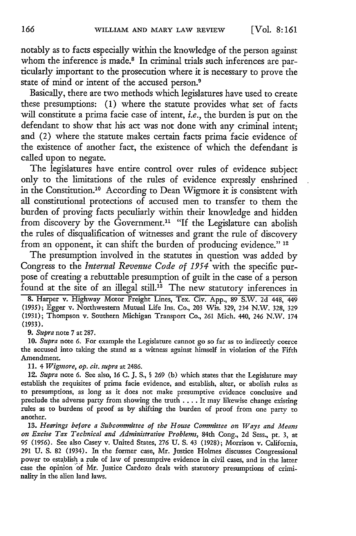notably as to facts especially within the knowledge of the person against whom the inference is made.<sup>8</sup> In criminal trials such inferences are particularly important to the prosecution where it is necessary to prove the state of mind or intent of the accused person.<sup>9</sup>

Basically, there are two methods which legislatures have used to create these presumptions: **(1)** where the statute provides what set of facts will constitute a prima facie case of intent, *i.e.,* the burden is put on the defendant to show that his act was not done with any criminal intent; and (2) where the statute makes certain facts prima facie evidence of the existence of another fact, the existence of which the defendant is called upon to negate.

The legislatures have entire control over rules of evidence subject only to the limitations of the rules of evidence expressly enshrined in the Constitution.10 According to Dean Wigmore it is consistent with all constitutional protections of accused men to transfer to them the burden of proving facts peculiarly within their knowledge and hidden from discovery by the Government.<sup>11</sup> "If the Legislature can abolish the rules of disqualification of witnesses and grant the rule of discovery from an opponent, it can shift the burden of producing evidence." **<sup>12</sup>**

The presumption involved in the statutes in question was added **by** Congress to the *Internal Revenue Code of 1954* with the specific purpose of creating a rebuttable presumption of guilt in the case of a person found at the site of an illegal still.<sup>13</sup> The new statutory inferences in

8. Harper v. Highway Motor Freight Lines, Tex. Civ. App., 89 S.W. 2d 448, 449 **(1935);** Egger v. Northwestern Mutual Life Ins. Co., 203 Wis. 329, 234 N.W. 328, 329 (1931); Thompson v. Southern Michigan Transport Co., 261 Mich. 440, 246 N.W. 174 **(1933).**

*9. Supra* note 7 at 287.

**10.** *Supra* note **6.** For example the Legislature cannot go so far as to indirectly coerce the accused into taking the stand as a witness against himself in violation of the Fifth Amendment.

11. 4 *Wigmore, op. cit. supra* at 2486.

12. *Supra* note **6.** See also, 16 C. J. **S., §** 269 (b) which states that the Legislature may establish the requisites of prima facie evidence, and establish, alter, or abolish rules as to presumptions, as long as it does not make presumptive evidence conclusive and preclude the adverse party from showing the truth .... It may likewise change existing rules as to burdens of proof as by shifting the burden of proof from one party to another.

*13. Hearings before a Subcommittee of the House Committee on Ways and Means on Excise Tax Technical and Administrative Problems,* 84th Cong., **2d** Sess., pt. 3, at *95 (1956).* See also Casey v. United States, 276 **U. S.** 43 (1928); Morrison v. California, 291 **U. S.** 82 (1934). In the former case, Mr. Justice Holmes discusses Congressional power to establish a rule of law of presumptive evidence in civil cases, and in the latter case the opinion **of** Mr. Justice Cardozo deals with statutory presumptions of criminality in the alien land laws.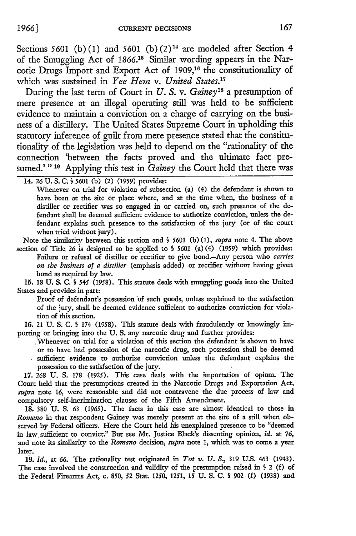Sections 5601 (b) (1) and 5601 (b)  $(2)^{14}$  are modeled after Section 4 of the Smuggling Act of 1866.<sup>15</sup> Similar wording appears in the Narcotic Drugs Import and Export Act of 1909,16 the constitutionality of which was sustained in *Yee Hem v. United States.17*

During the last term of Court in *U. S.* v. *Gainey'8* a presumption of mere presence at an illegal operating still was held to be sufficient evidence to maintain a conviction on a charge of carrying on the business of a distillery. The United States Supreme Court in upholding this statutory inference of guilt from mere presence stated that the constitutionality of the legislation was held to depend on the "rationality of the connection 'between the facts proved and the ultimate fact presumed.'"<sup>19</sup> Applying this test in *Gainey* the Court held that there was

Whenever on trial for violation of subsection (a) (4) the defendant is shown to have been at the site or place where, and at the time when, the business of a distiller or rectifier was so engaged in or carried on, such presence of the defendant shall be deemed sufficient evidence to authorize conviction, unless the defendant explains such presence to the satisfaction of the jury (or of the court when tried without jury).

Note the similarity between this section and § *5601* (b) (1), *supra* note 4. The above section of Title 26 is designed to be applied to § 5601 (a) (4) (1959) which provides: Failure or refusal of distiller or rectifier to give bond.-Any person who *carries on the business of a distiller* (emphasis added) or rectifier without having given bond as required by law.

15. 18 U. S. C. § *545* (1958). This statute deals with smuggling goods into the United States and provides in part:

Proof of defendant's possession of such goods, unless explained to the satisfaction of the jury, shall be deemed evidence sufficient to authorize conviction for viola*tion* of this section.

16. 21 U. S. C. § 174 (1958). This statute deals with fraudulently or knowingly importing or bringing into the U. S. any narcotic drug and further provides:

Whenever on trial for a violation of this section the defendant is shown to have or to have had possession of the narcotic drug, such possession shall be deemed sufficient evidence to authorize conviction unless the defendant explains the \* possession to the satisfaction of the jury.

17. 268 U. **S.** 178 (1925). This case deals with the importation of opium. The Court held that the presumptions created in the Narcotic Drugs and Exportation Act, *supra* note 16, were reasonable and did not contravene the due process of law and compulsory self-incrimination clauses of the Fifth Amendment.

18. 380 U. S. 63 *(1965).* The facts in this case are almost identical to those in *Romnano* in that respondent Gainey was merely present at the site of a still when observed by Federal officers. Here the Court held his unexplained presence to be "deemed in law sufficient to convict." But see Mr. Justice Black's dissenting opinion, *id.* at 76, and note its similarity to the *Romano* decision, *supra* note **1,** which was to come a year later.

**19.** *Id.,* at *66.* The rationality test originated in *Tot v. U. S.,* **319** U.S. 463 (1943). The case involved the construction and validity of the presumption raised in § 2 (f) of the Federal Firearms Act, c. 850, 52 Star. 1250, 1251, **15 U.** S. C. § 902 (f) (1938) and

<sup>14.</sup> **26** U. S. C. § 5601 (b) (2) (1959) provides: